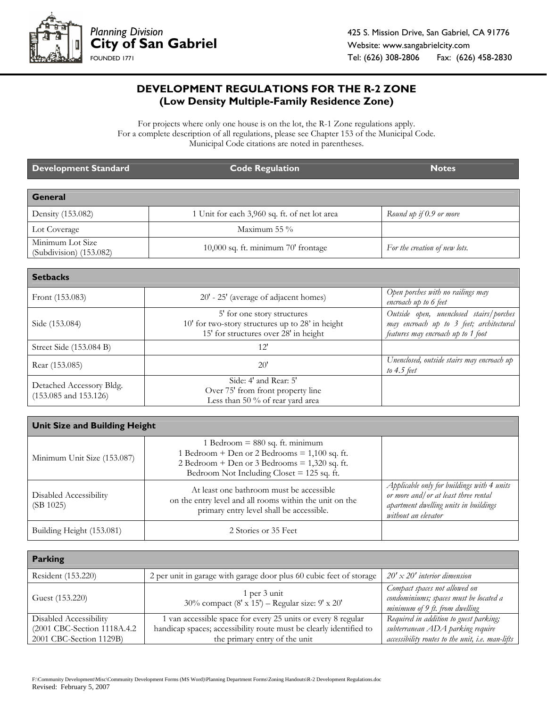

## **DEVELOPMENT REGULATIONS FOR THE R-2 ZONE (Low Density Multiple-Family Residence Zone)**

For projects where only one house is on the lot, the R-1 Zone regulations apply. For a complete description of all regulations, please see Chapter 153 of the Municipal Code. Municipal Code citations are noted in parentheses.

| Development Standard                        | <b>Code Regulation</b>                        | <b>Notes</b>                  |
|---------------------------------------------|-----------------------------------------------|-------------------------------|
| General                                     |                                               |                               |
| Density (153.082)                           | 1 Unit for each 3,960 sq. ft. of net lot area | Round up if 0.9 or more       |
| Lot Coverage                                | Maximum 55 $\%$                               |                               |
| Minimum Lot Size<br>(Subdivision) (153.082) | 10,000 sq. ft. minimum 70' frontage           | For the creation of new lots. |

| <b>Setbacks</b>                                       |                                                                                                                          |                                                                                                                           |
|-------------------------------------------------------|--------------------------------------------------------------------------------------------------------------------------|---------------------------------------------------------------------------------------------------------------------------|
| Front (153.083)                                       | 20' - 25' (average of adjacent homes)                                                                                    | Open porches with no railings may<br>encroach up to 6 feet                                                                |
| Side (153.084)                                        | 5' for one story structures<br>10' for two-story structures up to 28' in height<br>15' for structures over 28' in height | Outside open, unenclosed stairs/porches<br>may encroach up to 3 feet; architectural<br>features may encroach up to 1 foot |
| Street Side (153.084 B)                               | 12'                                                                                                                      |                                                                                                                           |
| Rear (153.085)                                        | 20'                                                                                                                      | Unenclosed, outside stairs may encroach up<br>to $4.5$ feet                                                               |
| Detached Accessory Bldg.<br>$(153.085$ and $153.126)$ | Side: 4' and Rear: 5'<br>Over 75' from front property line<br>Less than 50 % of rear yard area                           |                                                                                                                           |

| <b>Unit Size and Building Height</b> |                                                                                                                                                                                         |                                                                                                                                                     |
|--------------------------------------|-----------------------------------------------------------------------------------------------------------------------------------------------------------------------------------------|-----------------------------------------------------------------------------------------------------------------------------------------------------|
| Minimum Unit Size (153.087)          | 1 Bedroom = $880$ sq. ft. minimum<br>1 Bedroom + Den or 2 Bedrooms = $1,100$ sq. ft.<br>2 Bedroom + Den or 3 Bedrooms = $1,320$ sq. ft.<br>Bedroom Not Including Closet $= 125$ sq. ft. |                                                                                                                                                     |
| Disabled Accessibility<br>(SB 1025)  | At least one bathroom must be accessible<br>on the entry level and all rooms within the unit on the<br>primary entry level shall be accessible.                                         | Applicable only for buildings with 4 units<br>or more and/ or at least three rental<br>apartment dwelling units in buildings<br>without an elevator |
| Building Height (153.081)            | 2 Stories or 35 Feet                                                                                                                                                                    |                                                                                                                                                     |

| <b>Parking</b>               |                                                                     |                                                                                                           |
|------------------------------|---------------------------------------------------------------------|-----------------------------------------------------------------------------------------------------------|
| Resident (153.220)           | 2 per unit in garage with garage door plus 60 cubic feet of storage | $20' \times 20'$ interior dimension                                                                       |
| Guest (153.220)              | 1 per 3 unit<br>30% compact (8' x 15') - Regular size: 9' x 20'     | Compact spaces not allowed on<br>condominiums; spaces must be located a<br>minimum of 9 ft. from dwelling |
| Disabled Accessibility       | 1 van accessible space for every 25 units or every 8 regular        | Required in addition to guest parking;                                                                    |
| (2001 CBC-Section 1118A.4.2) | handicap spaces; accessibility route must be clearly identified to  | subterranean ADA parking require                                                                          |
| 2001 CBC-Section 1129B)      | the primary entry of the unit                                       | accessibility routes to the unit, i.e. man-lifts                                                          |